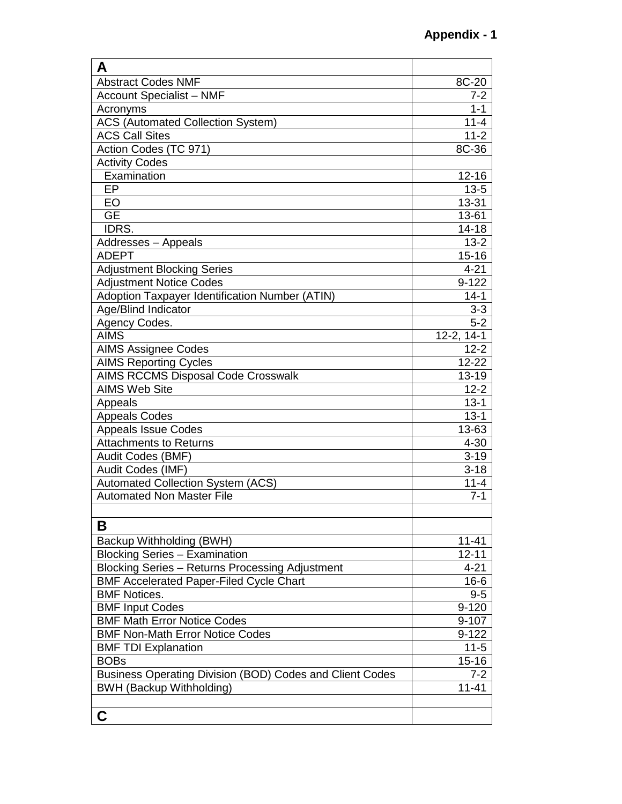| A                                                        |                  |
|----------------------------------------------------------|------------------|
| <b>Abstract Codes NMF</b>                                | 8C-20            |
| <b>Account Specialist - NMF</b>                          | $7 - 2$          |
| Acronyms                                                 | $1 - 1$          |
| <b>ACS</b> (Automated Collection System)                 | $11 - 4$         |
| <b>ACS Call Sites</b>                                    | $11 - 2$         |
| Action Codes (TC 971)                                    | 8C-36            |
| <b>Activity Codes</b>                                    |                  |
| Examination                                              | $12 - 16$        |
| EP                                                       | $13 - 5$         |
| EO                                                       | 13-31            |
| <b>GE</b>                                                | 13-61            |
| IDRS.                                                    | $14 - 18$        |
| Addresses - Appeals                                      | $13 - 2$         |
| <b>ADEPT</b>                                             | $15 - 16$        |
| <b>Adjustment Blocking Series</b>                        | $4 - 21$         |
| <b>Adjustment Notice Codes</b>                           | $9 - 122$        |
| Adoption Taxpayer Identification Number (ATIN)           | $14 - 1$         |
| Age/Blind Indicator                                      | $3 - 3$          |
| Agency Codes.                                            | $5 - 2$          |
| <b>AIMS</b>                                              | $12 - 2, 14 - 1$ |
| <b>AIMS Assignee Codes</b>                               | $12 - 2$         |
| <b>AIMS Reporting Cycles</b>                             | $12 - 22$        |
| <b>AIMS RCCMS Disposal Code Crosswalk</b>                | 13-19            |
| <b>AIMS Web Site</b>                                     | $12 - 2$         |
| Appeals                                                  | $13 - 1$         |
| <b>Appeals Codes</b>                                     | $13 - 1$         |
| <b>Appeals Issue Codes</b>                               | 13-63            |
| <b>Attachments to Returns</b>                            | $4 - 30$         |
| Audit Codes (BMF)                                        | $3 - 19$         |
| Audit Codes (IMF)                                        | $3 - 18$         |
| Automated Collection System (ACS)                        | $11 - 4$         |
| <b>Automated Non Master File</b>                         | $7 - 1$          |
|                                                          |                  |
| В                                                        |                  |
| Backup Withholding (BWH)                                 | 11-41            |
| <b>Blocking Series - Examination</b>                     | $12 - 11$        |
| Blocking Series - Returns Processing Adjustment          | $4 - 21$         |
| <b>BMF Accelerated Paper-Filed Cycle Chart</b>           | $16 - 6$         |
| <b>BMF Notices.</b>                                      | $9 - 5$          |
| <b>BMF Input Codes</b>                                   | $9 - 120$        |
| <b>BMF Math Error Notice Codes</b>                       | 9-107            |
| <b>BMF Non-Math Error Notice Codes</b>                   | $9 - 122$        |
| <b>BMF TDI Explanation</b>                               | $11 - 5$         |
| <b>BOBs</b>                                              | $15 - 16$        |
| Business Operating Division (BOD) Codes and Client Codes | $7 - 2$          |
| <b>BWH (Backup Withholding)</b>                          | $11 - 41$        |
|                                                          |                  |
| C                                                        |                  |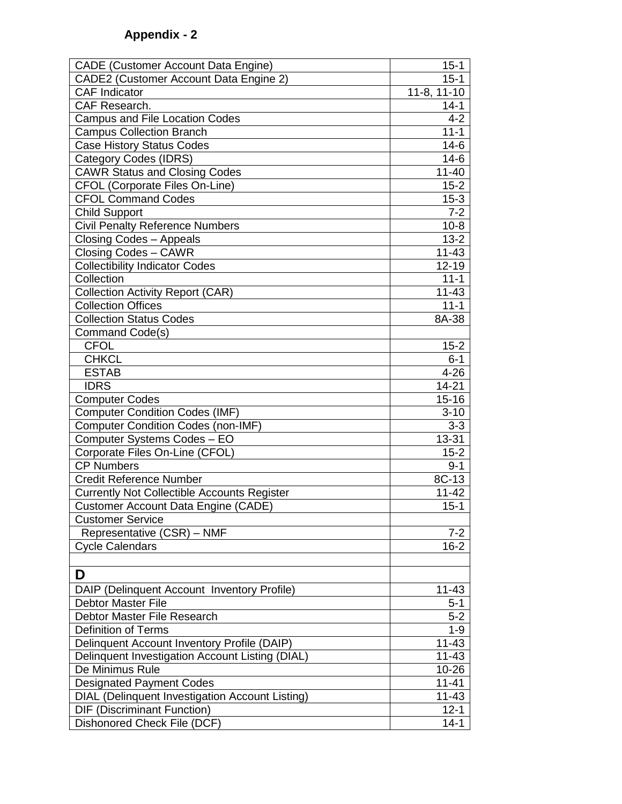| <b>CADE (Customer Account Data Engine)</b>         | $15 - 1$    |
|----------------------------------------------------|-------------|
| CADE2 (Customer Account Data Engine 2)             | $15 - 1$    |
| <b>CAF</b> Indicator                               | 11-8, 11-10 |
| CAF Research.                                      | $14 - 1$    |
| <b>Campus and File Location Codes</b>              | $4 - 2$     |
| <b>Campus Collection Branch</b>                    | $11 - 1$    |
| <b>Case History Status Codes</b>                   | $14-6$      |
| <b>Category Codes (IDRS)</b>                       | $14-6$      |
| <b>CAWR Status and Closing Codes</b>               | $11 - 40$   |
| <b>CFOL (Corporate Files On-Line)</b>              | $15 - 2$    |
| <b>CFOL Command Codes</b>                          | $15 - 3$    |
| <b>Child Support</b>                               | $7 - 2$     |
| <b>Civil Penalty Reference Numbers</b>             | $10-8$      |
| <b>Closing Codes - Appeals</b>                     | $13 - 2$    |
| <b>Closing Codes - CAWR</b>                        | $11 - 43$   |
| <b>Collectibility Indicator Codes</b>              | $12 - 19$   |
| Collection                                         | $11 - 1$    |
| Collection Activity Report (CAR)                   | $11 - 43$   |
| <b>Collection Offices</b>                          | $11 - 1$    |
| <b>Collection Status Codes</b>                     | 8A-38       |
| Command Code(s)                                    |             |
| <b>CFOL</b>                                        | $15 - 2$    |
| <b>CHKCL</b>                                       | $6 - 1$     |
| <b>ESTAB</b>                                       | $4 - 26$    |
| <b>IDRS</b>                                        | $14 - 21$   |
| <b>Computer Codes</b>                              | $15 - 16$   |
| <b>Computer Condition Codes (IMF)</b>              | $3 - 10$    |
| <b>Computer Condition Codes (non-IMF)</b>          | $3-3$       |
| Computer Systems Codes - EO                        | 13-31       |
| Corporate Files On-Line (CFOL)                     | $15 - 2$    |
| <b>CP Numbers</b>                                  | $9 - 1$     |
| <b>Credit Reference Number</b>                     | 8C-13       |
| <b>Currently Not Collectible Accounts Register</b> | $11 - 42$   |
| <b>Customer Account Data Engine (CADE)</b>         | $15 - 1$    |
| <b>Customer Service</b>                            |             |
| Representative (CSR) - NMF                         | $7 - 2$     |
| <b>Cycle Calendars</b>                             | $16 - 2$    |
|                                                    |             |
| D                                                  |             |
| DAIP (Delinquent Account Inventory Profile)        | $11 - 43$   |
| <b>Debtor Master File</b>                          | $5 - 1$     |
| Debtor Master File Research                        | $5 - 2$     |
| <b>Definition of Terms</b>                         | $1 - 9$     |
| Delinquent Account Inventory Profile (DAIP)        | 11-43       |
| Delinquent Investigation Account Listing (DIAL)    | 11-43       |
| De Minimus Rule                                    | 10-26       |
| <b>Designated Payment Codes</b>                    | $11 - 41$   |
| DIAL (Delinquent Investigation Account Listing)    | 11-43       |
| <b>DIF (Discriminant Function)</b>                 | $12 - 1$    |
| Dishonored Check File (DCF)                        | $14 - 1$    |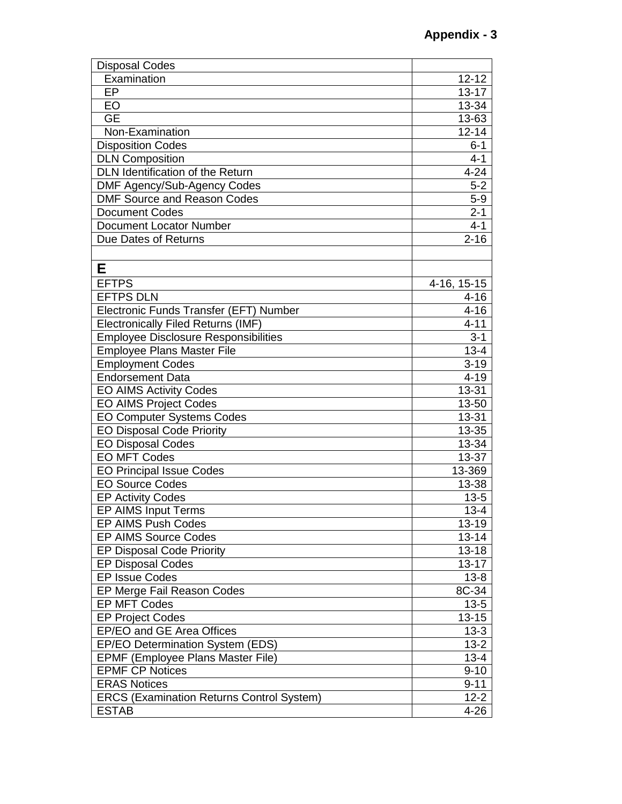| <b>Disposal Codes</b>                            |             |
|--------------------------------------------------|-------------|
| Examination                                      | $12 - 12$   |
| EP                                               | $13 - 17$   |
| EO                                               | $13 - 34$   |
| <b>GE</b>                                        | 13-63       |
| Non-Examination                                  | $12 - 14$   |
| <b>Disposition Codes</b>                         | $6 - 1$     |
| <b>DLN Composition</b>                           | $4 - 1$     |
| DLN Identification of the Return                 | $4 - 24$    |
| DMF Agency/Sub-Agency Codes                      | $5 - 2$     |
| <b>DMF Source and Reason Codes</b>               | $5-9$       |
| <b>Document Codes</b>                            | $2 - 1$     |
| <b>Document Locator Number</b>                   | $4 - 1$     |
| Due Dates of Returns                             | $2 - 16$    |
|                                                  |             |
| Е                                                |             |
| <b>EFTPS</b>                                     | 4-16, 15-15 |
| <b>EFTPS DLN</b>                                 | $4 - 16$    |
| Electronic Funds Transfer (EFT) Number           | $4 - 16$    |
| <b>Electronically Filed Returns (IMF)</b>        | $4 - 11$    |
| <b>Employee Disclosure Responsibilities</b>      | $3 - 1$     |
| <b>Employee Plans Master File</b>                | $13 - 4$    |
| <b>Employment Codes</b>                          | $3 - 19$    |
| <b>Endorsement Data</b>                          | $4 - 19$    |
| <b>EO AIMS Activity Codes</b>                    | 13-31       |
| <b>EO AIMS Project Codes</b>                     | 13-50       |
| <b>EO Computer Systems Codes</b>                 | 13-31       |
| <b>EO Disposal Code Priority</b>                 | 13-35       |
| <b>EO Disposal Codes</b>                         | 13-34       |
| <b>EO MFT Codes</b>                              | 13-37       |
| <b>EO Principal Issue Codes</b>                  | 13-369      |
| <b>EO Source Codes</b>                           | 13-38       |
| <b>EP Activity Codes</b>                         | $13 - 5$    |
| EP AIMS Input Terms                              | $13 - 4$    |
| EP AIMS Push Codes                               | 13-19       |
| <b>EP AIMS Source Codes</b>                      | $13 - 14$   |
| <b>EP Disposal Code Priority</b>                 | $13 - 18$   |
| <b>EP Disposal Codes</b>                         | $13 - 17$   |
| <b>EP Issue Codes</b>                            | $13 - 8$    |
| EP Merge Fail Reason Codes                       | 8C-34       |
| <b>EP MFT Codes</b>                              | $13 - 5$    |
| <b>EP Project Codes</b>                          | $13 - 15$   |
| EP/EO and GE Area Offices                        | $13 - 3$    |
| EP/EO Determination System (EDS)                 | $13 - 2$    |
| EPMF (Employee Plans Master File)                | $13 - 4$    |
| <b>EPMF CP Notices</b>                           | $9 - 10$    |
| <b>ERAS Notices</b>                              | $9 - 11$    |
| <b>ERCS (Examination Returns Control System)</b> | $12 - 2$    |
| <b>ESTAB</b>                                     | $4 - 26$    |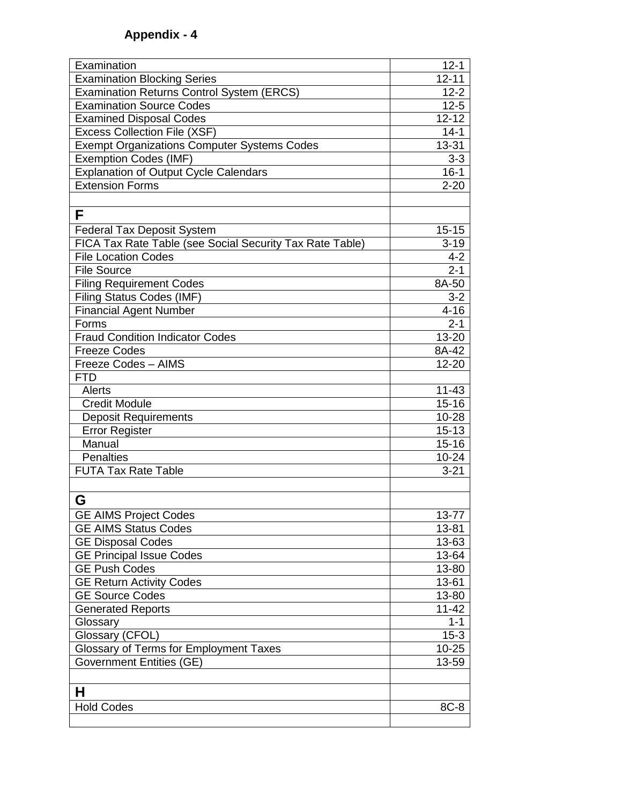| Examination                                              | $12 - 1$  |
|----------------------------------------------------------|-----------|
| <b>Examination Blocking Series</b>                       | $12 - 11$ |
| <b>Examination Returns Control System (ERCS)</b>         | $12 - 2$  |
| <b>Examination Source Codes</b>                          | $12 - 5$  |
| <b>Examined Disposal Codes</b>                           | $12 - 12$ |
| <b>Excess Collection File (XSF)</b>                      | $14 - 1$  |
| <b>Exempt Organizations Computer Systems Codes</b>       | 13-31     |
| <b>Exemption Codes (IMF)</b>                             | $3 - 3$   |
| <b>Explanation of Output Cycle Calendars</b>             | $16 - 1$  |
| <b>Extension Forms</b>                                   | $2 - 20$  |
|                                                          |           |
| F                                                        |           |
| <b>Federal Tax Deposit System</b>                        | $15 - 15$ |
| FICA Tax Rate Table (see Social Security Tax Rate Table) | $3 - 19$  |
| <b>File Location Codes</b>                               | $4 - 2$   |
| <b>File Source</b>                                       | $2 - 1$   |
| <b>Filing Requirement Codes</b>                          | 8A-50     |
| Filing Status Codes (IMF)                                | $3 - 2$   |
| <b>Financial Agent Number</b>                            | $4 - 16$  |
| Forms                                                    | $2 - 1$   |
| <b>Fraud Condition Indicator Codes</b>                   | 13-20     |
| <b>Freeze Codes</b>                                      | 8A-42     |
| Freeze Codes - AIMS                                      | 12-20     |
| <b>FTD</b>                                               |           |
| Alerts                                                   | $11 - 43$ |
| <b>Credit Module</b>                                     | $15 - 16$ |
| <b>Deposit Requirements</b>                              | 10-28     |
| <b>Error Register</b>                                    | $15 - 13$ |
| Manual                                                   | $15 - 16$ |
| <b>Penalties</b>                                         | $10 - 24$ |
| <b>FUTA Tax Rate Table</b>                               | $3 - 21$  |
|                                                          |           |
| G                                                        |           |
| <b>GE AIMS Project Codes</b>                             | 13-77     |
| <b>GE AIMS Status Codes</b>                              | 13-81     |
| <b>GE Disposal Codes</b>                                 | 13-63     |
| <b>GE Principal Issue Codes</b>                          | 13-64     |
| <b>GE Push Codes</b>                                     | 13-80     |
| <b>GE Return Activity Codes</b>                          | 13-61     |
| <b>GE Source Codes</b>                                   | 13-80     |
| <b>Generated Reports</b>                                 | $11 - 42$ |
| Glossary                                                 | $1 - 1$   |
| Glossary (CFOL)                                          | $15-3$    |
| Glossary of Terms for Employment Taxes                   | $10 - 25$ |
| <b>Government Entities (GE)</b>                          | 13-59     |
|                                                          |           |
| н                                                        |           |
| <b>Hold Codes</b>                                        | 8C-8      |
|                                                          |           |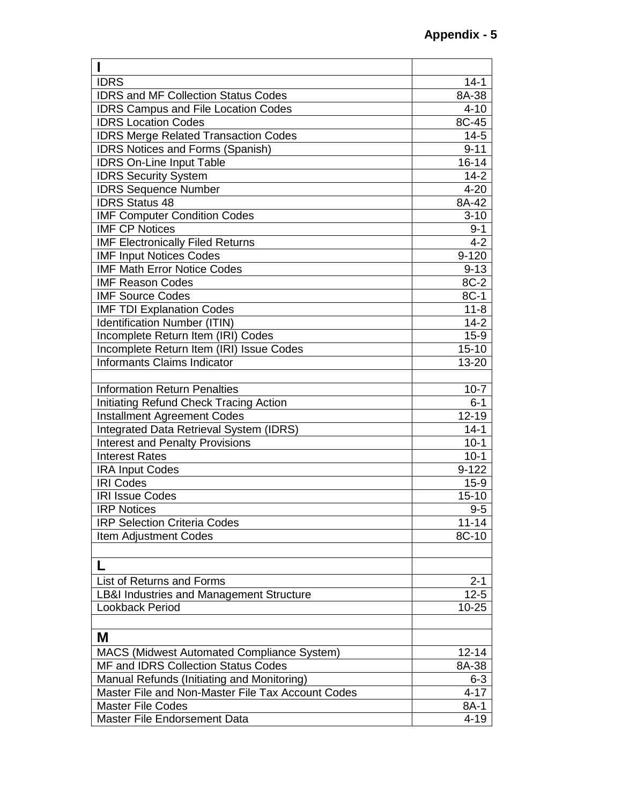| <b>IDRS</b>                                         | $14 - 1$  |
|-----------------------------------------------------|-----------|
| <b>IDRS and MF Collection Status Codes</b>          | 8A-38     |
| <b>IDRS Campus and File Location Codes</b>          | $4 - 10$  |
| <b>IDRS Location Codes</b>                          | 8C-45     |
| <b>IDRS Merge Related Transaction Codes</b>         | $14-5$    |
| <b>IDRS Notices and Forms (Spanish)</b>             | $9 - 11$  |
| <b>IDRS On-Line Input Table</b>                     | $16 - 14$ |
| <b>IDRS Security System</b>                         | $14 - 2$  |
| <b>IDRS Sequence Number</b>                         | $4 - 20$  |
| <b>IDRS Status 48</b>                               | 8A-42     |
| <b>IMF Computer Condition Codes</b>                 | $3 - 10$  |
| <b>IMF CP Notices</b>                               | $9 - 1$   |
| <b>IMF Electronically Filed Returns</b>             | $4 - 2$   |
| <b>IMF Input Notices Codes</b>                      | $9 - 120$ |
| <b>IMF Math Error Notice Codes</b>                  | $9 - 13$  |
| <b>IMF Reason Codes</b>                             | 8C-2      |
| <b>IMF Source Codes</b>                             | 8C-1      |
| <b>IMF TDI Explanation Codes</b>                    | $11 - 8$  |
| <b>Identification Number (ITIN)</b>                 | $14 - 2$  |
| Incomplete Return Item (IRI) Codes                  | $15-9$    |
| Incomplete Return Item (IRI) Issue Codes            | $15 - 10$ |
| Informants Claims Indicator                         | 13-20     |
|                                                     |           |
| <b>Information Return Penalties</b>                 | $10 - 7$  |
| Initiating Refund Check Tracing Action              | $6 - 1$   |
| <b>Installment Agreement Codes</b>                  | $12 - 19$ |
| Integrated Data Retrieval System (IDRS)             | $14 - 1$  |
| <b>Interest and Penalty Provisions</b>              | $10-1$    |
| <b>Interest Rates</b>                               | $10 - 1$  |
| <b>IRA Input Codes</b>                              | $9 - 122$ |
| <b>IRI Codes</b>                                    | $15-9$    |
| <b>IRI Issue Codes</b>                              | $15 - 10$ |
| <b>IRP Notices</b>                                  | $9 - 5$   |
| <b>IRP Selection Criteria Codes</b>                 | $11 - 14$ |
| <b>Item Adjustment Codes</b>                        | 8C-10     |
|                                                     |           |
|                                                     |           |
| List of Returns and Forms                           | $2 - 1$   |
| <b>LB&amp;I Industries and Management Structure</b> | $12 - 5$  |
| Lookback Period                                     | $10 - 25$ |
|                                                     |           |
| M                                                   |           |
| <b>MACS (Midwest Automated Compliance System)</b>   | $12 - 14$ |
| MF and IDRS Collection Status Codes                 | 8A-38     |
| Manual Refunds (Initiating and Monitoring)          | $6 - 3$   |
| Master File and Non-Master File Tax Account Codes   | $4 - 17$  |
| <b>Master File Codes</b>                            | 8A-1      |
| Master File Endorsement Data                        | $4 - 19$  |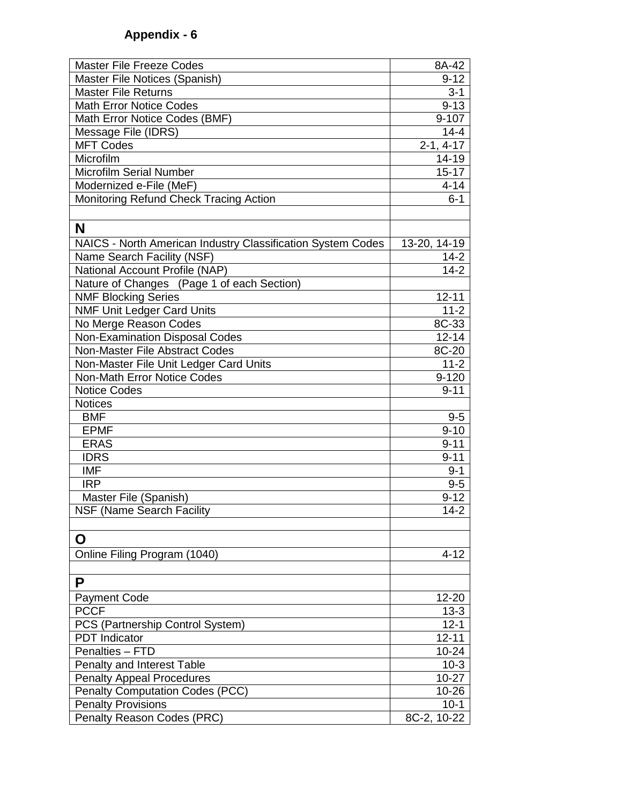| <b>Master File Freeze Codes</b>                              | 8A-42                 |
|--------------------------------------------------------------|-----------------------|
| Master File Notices (Spanish)                                | $9 - 12$              |
| <b>Master File Returns</b>                                   | $3 - 1$               |
| <b>Math Error Notice Codes</b>                               | $9 - 13$              |
| Math Error Notice Codes (BMF)                                | $9 - 107$             |
| Message File (IDRS)                                          | $14 - 4$              |
| <b>MFT Codes</b>                                             | $2 - 1, 4 - 17$       |
| Microfilm                                                    | 14-19                 |
| <b>Microfilm Serial Number</b>                               | $15 - 17$             |
| Modernized e-File (MeF)                                      | $4 - 14$              |
| Monitoring Refund Check Tracing Action                       | $6 - 1$               |
|                                                              |                       |
| N                                                            |                       |
| NAICS - North American Industry Classification System Codes  | 13-20, 14-19          |
|                                                              |                       |
| Name Search Facility (NSF)<br>National Account Profile (NAP) | $14 - 2$<br>$14 - 2$  |
|                                                              |                       |
| Nature of Changes (Page 1 of each Section)                   |                       |
| <b>NMF Blocking Series</b>                                   | $12 - 11$             |
| <b>NMF Unit Ledger Card Units</b>                            | $11 - 2$              |
| No Merge Reason Codes                                        | 8C-33                 |
| <b>Non-Examination Disposal Codes</b>                        | $\overline{12} - 14$  |
| Non-Master File Abstract Codes                               | $8C-20$               |
| Non-Master File Unit Ledger Card Units                       | $11 - 2$              |
| <b>Non-Math Error Notice Codes</b>                           | $9 - 120$             |
| <b>Notice Codes</b>                                          | $9 - 11$              |
| <b>Notices</b><br><b>BMF</b>                                 |                       |
| <b>EPMF</b>                                                  | $9-5$<br>$9 - 10$     |
| <b>ERAS</b>                                                  | $9 - 11$              |
| <b>IDRS</b>                                                  | $9 - 11$              |
| <b>IMF</b>                                                   |                       |
| <b>IRP</b>                                                   | $9 - 1$<br>$9-5$      |
|                                                              | $9 - 12$              |
| Master File (Spanish)                                        | $14-2$                |
| NSF (Name Search Facility                                    |                       |
| O                                                            |                       |
|                                                              |                       |
| Online Filing Program (1040)                                 | $4 - 12$              |
| P                                                            |                       |
| <b>Payment Code</b>                                          | 12-20                 |
| <b>PCCF</b>                                                  |                       |
|                                                              | $13 - 3$              |
| PCS (Partnership Control System)<br><b>PDT</b> Indicator     | $12 - 1$<br>$12 - 11$ |
| Penalties - FTD                                              | $10 - 24$             |
|                                                              |                       |
| Penalty and Interest Table                                   | $10-3$                |
| <b>Penalty Appeal Procedures</b>                             | $10 - 27$             |
| <b>Penalty Computation Codes (PCC)</b>                       | 10-26                 |
| <b>Penalty Provisions</b>                                    | $10 - 1$              |
| Penalty Reason Codes (PRC)                                   | 8C-2, 10-22           |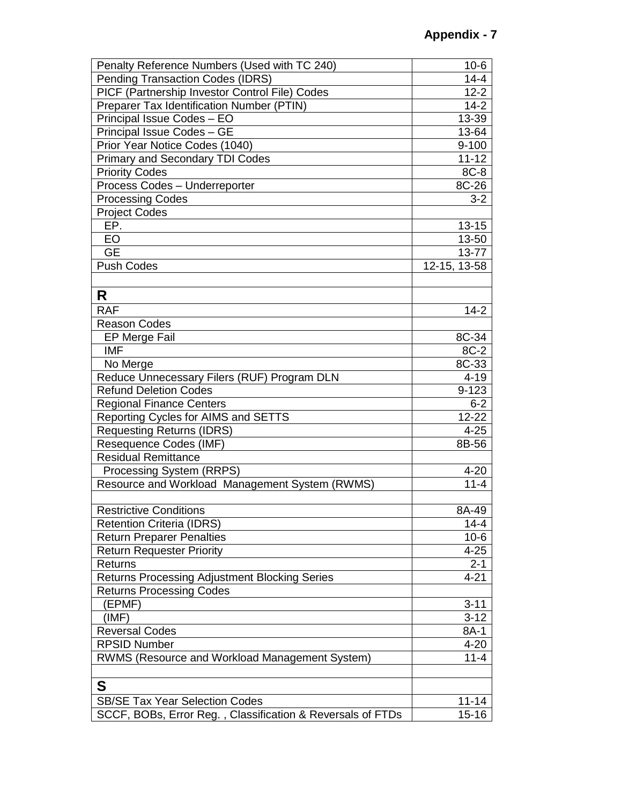| Penalty Reference Numbers (Used with TC 240)               | $10-6$       |
|------------------------------------------------------------|--------------|
| <b>Pending Transaction Codes (IDRS)</b>                    | $14 - 4$     |
| PICF (Partnership Investor Control File) Codes             | $12 - 2$     |
| Preparer Tax Identification Number (PTIN)                  | $14 - 2$     |
| Principal Issue Codes - EO                                 | 13-39        |
| Principal Issue Codes - GE                                 | 13-64        |
| Prior Year Notice Codes (1040)                             | $9 - 100$    |
| <b>Primary and Secondary TDI Codes</b>                     | $11 - 12$    |
| <b>Priority Codes</b>                                      | 8C-8         |
| Process Codes - Underreporter                              | 8C-26        |
| <b>Processing Codes</b>                                    | $3 - 2$      |
| <b>Project Codes</b>                                       |              |
| EP.                                                        | $13 - 15$    |
| EO                                                         | 13-50        |
| <b>GE</b>                                                  | 13-77        |
| <b>Push Codes</b>                                          | 12-15, 13-58 |
|                                                            |              |
| R                                                          |              |
| <b>RAF</b>                                                 | $14 - 2$     |
| <b>Reason Codes</b>                                        |              |
| <b>EP Merge Fail</b>                                       | 8C-34        |
| <b>IMF</b>                                                 | 8C-2         |
| No Merge                                                   | 8C-33        |
| Reduce Unnecessary Filers (RUF) Program DLN                | $4 - 19$     |
| <b>Refund Deletion Codes</b>                               | $9 - 123$    |
| <b>Regional Finance Centers</b>                            | $6 - 2$      |
| Reporting Cycles for AIMS and SETTS                        | 12-22        |
| <b>Requesting Returns (IDRS)</b>                           | $4 - 25$     |
| Resequence Codes (IMF)                                     | 8B-56        |
| <b>Residual Remittance</b>                                 |              |
| Processing System (RRPS)                                   | $4 - 20$     |
| Resource and Workload Management System (RWMS)             | $11 - 4$     |
|                                                            |              |
| <b>Restrictive Conditions</b>                              | 8A-49        |
| <b>Retention Criteria (IDRS)</b>                           | $14 - 4$     |
| <b>Return Preparer Penalties</b>                           | $10-6$       |
| <b>Return Requester Priority</b>                           | $4 - 25$     |
| Returns                                                    | $2 - 1$      |
| <b>Returns Processing Adjustment Blocking Series</b>       | $4 - 21$     |
| <b>Returns Processing Codes</b>                            |              |
| (EPMF)                                                     | $3 - 11$     |
| (IMF)                                                      | $3 - 12$     |
| <b>Reversal Codes</b>                                      | 8A-1         |
| <b>RPSID Number</b>                                        | $4 - 20$     |
| RWMS (Resource and Workload Management System)             | $11 - 4$     |
|                                                            |              |
| S                                                          |              |
| <b>SB/SE Tax Year Selection Codes</b>                      | $11 - 14$    |
| SCCF, BOBs, Error Reg., Classification & Reversals of FTDs | $15 - 16$    |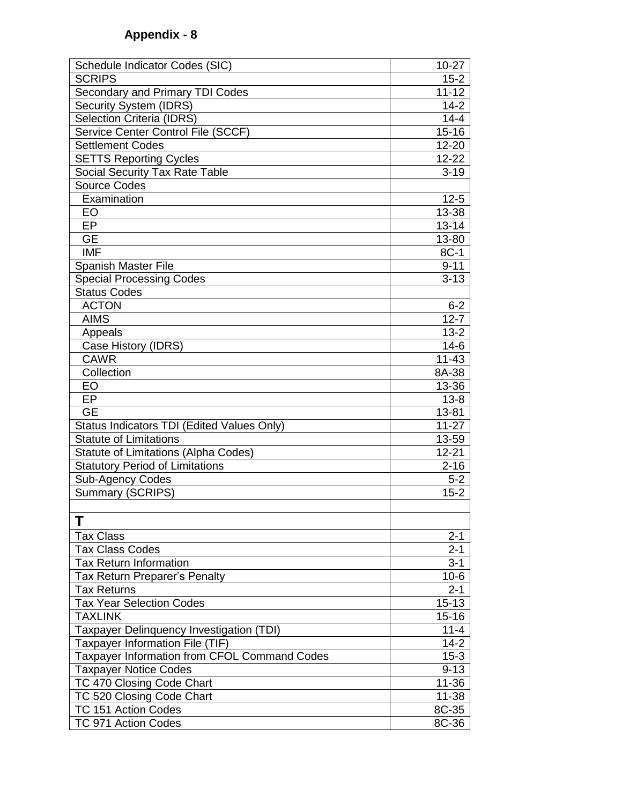| Schedule Indicator Codes (SIC)<br>$10 - 27$<br><b>SCRIPS</b><br>$15 - 2$<br>Secondary and Primary TDI Codes<br>$11 - 12$<br>$14-2$<br><b>Security System (IDRS)</b><br><b>Selection Criteria (IDRS)</b><br>$14 - 4$<br>Service Center Control File (SCCF)<br>$15 - 16$<br><b>Settlement Codes</b><br>$12 - 20$<br>$12 - 22$<br><b>SETTS Reporting Cycles</b><br>Social Security Tax Rate Table<br>$3 - 19$<br><b>Source Codes</b><br>Examination<br>$12 - 5$<br>13-38<br>EO<br>EP<br>$13 - 14$<br><b>GE</b><br>13-80<br><b>IMF</b><br>8C-1<br><b>Spanish Master File</b><br>$9 - 11$<br><b>Special Processing Codes</b><br>$3 - 13$<br><b>Status Codes</b><br><b>ACTON</b><br>$6 - 2$<br><b>AIMS</b><br>$12 - 7$<br>Appeals<br>$13 - 2$ |
|-----------------------------------------------------------------------------------------------------------------------------------------------------------------------------------------------------------------------------------------------------------------------------------------------------------------------------------------------------------------------------------------------------------------------------------------------------------------------------------------------------------------------------------------------------------------------------------------------------------------------------------------------------------------------------------------------------------------------------------------|
|                                                                                                                                                                                                                                                                                                                                                                                                                                                                                                                                                                                                                                                                                                                                         |
|                                                                                                                                                                                                                                                                                                                                                                                                                                                                                                                                                                                                                                                                                                                                         |
|                                                                                                                                                                                                                                                                                                                                                                                                                                                                                                                                                                                                                                                                                                                                         |
|                                                                                                                                                                                                                                                                                                                                                                                                                                                                                                                                                                                                                                                                                                                                         |
|                                                                                                                                                                                                                                                                                                                                                                                                                                                                                                                                                                                                                                                                                                                                         |
|                                                                                                                                                                                                                                                                                                                                                                                                                                                                                                                                                                                                                                                                                                                                         |
|                                                                                                                                                                                                                                                                                                                                                                                                                                                                                                                                                                                                                                                                                                                                         |
|                                                                                                                                                                                                                                                                                                                                                                                                                                                                                                                                                                                                                                                                                                                                         |
|                                                                                                                                                                                                                                                                                                                                                                                                                                                                                                                                                                                                                                                                                                                                         |
|                                                                                                                                                                                                                                                                                                                                                                                                                                                                                                                                                                                                                                                                                                                                         |
|                                                                                                                                                                                                                                                                                                                                                                                                                                                                                                                                                                                                                                                                                                                                         |
|                                                                                                                                                                                                                                                                                                                                                                                                                                                                                                                                                                                                                                                                                                                                         |
|                                                                                                                                                                                                                                                                                                                                                                                                                                                                                                                                                                                                                                                                                                                                         |
|                                                                                                                                                                                                                                                                                                                                                                                                                                                                                                                                                                                                                                                                                                                                         |
|                                                                                                                                                                                                                                                                                                                                                                                                                                                                                                                                                                                                                                                                                                                                         |
|                                                                                                                                                                                                                                                                                                                                                                                                                                                                                                                                                                                                                                                                                                                                         |
|                                                                                                                                                                                                                                                                                                                                                                                                                                                                                                                                                                                                                                                                                                                                         |
|                                                                                                                                                                                                                                                                                                                                                                                                                                                                                                                                                                                                                                                                                                                                         |
|                                                                                                                                                                                                                                                                                                                                                                                                                                                                                                                                                                                                                                                                                                                                         |
|                                                                                                                                                                                                                                                                                                                                                                                                                                                                                                                                                                                                                                                                                                                                         |
|                                                                                                                                                                                                                                                                                                                                                                                                                                                                                                                                                                                                                                                                                                                                         |
| $14-6$<br>Case History (IDRS)                                                                                                                                                                                                                                                                                                                                                                                                                                                                                                                                                                                                                                                                                                           |
| $11 - 43$<br><b>CAWR</b>                                                                                                                                                                                                                                                                                                                                                                                                                                                                                                                                                                                                                                                                                                                |
| Collection<br>8A-38                                                                                                                                                                                                                                                                                                                                                                                                                                                                                                                                                                                                                                                                                                                     |
| 13-36<br>EO                                                                                                                                                                                                                                                                                                                                                                                                                                                                                                                                                                                                                                                                                                                             |
| EP<br>$13 - 8$                                                                                                                                                                                                                                                                                                                                                                                                                                                                                                                                                                                                                                                                                                                          |
| <b>GE</b><br>13-81                                                                                                                                                                                                                                                                                                                                                                                                                                                                                                                                                                                                                                                                                                                      |
| Status Indicators TDI (Edited Values Only)<br>$11 - 27$                                                                                                                                                                                                                                                                                                                                                                                                                                                                                                                                                                                                                                                                                 |
| <b>Statute of Limitations</b><br>13-59                                                                                                                                                                                                                                                                                                                                                                                                                                                                                                                                                                                                                                                                                                  |
| Statute of Limitations (Alpha Codes)<br>$12 - 21$                                                                                                                                                                                                                                                                                                                                                                                                                                                                                                                                                                                                                                                                                       |
| <b>Statutory Period of Limitations</b><br>$2 - 16$                                                                                                                                                                                                                                                                                                                                                                                                                                                                                                                                                                                                                                                                                      |
| <b>Sub-Agency Codes</b><br>$5 - 2$                                                                                                                                                                                                                                                                                                                                                                                                                                                                                                                                                                                                                                                                                                      |
| <b>Summary (SCRIPS)</b><br>$15 - 2$                                                                                                                                                                                                                                                                                                                                                                                                                                                                                                                                                                                                                                                                                                     |
|                                                                                                                                                                                                                                                                                                                                                                                                                                                                                                                                                                                                                                                                                                                                         |
| Τ                                                                                                                                                                                                                                                                                                                                                                                                                                                                                                                                                                                                                                                                                                                                       |
| <b>Tax Class</b><br>$2 - 1$                                                                                                                                                                                                                                                                                                                                                                                                                                                                                                                                                                                                                                                                                                             |
| <b>Tax Class Codes</b><br>$2 - 1$                                                                                                                                                                                                                                                                                                                                                                                                                                                                                                                                                                                                                                                                                                       |
| $3 - 1$<br><b>Tax Return Information</b>                                                                                                                                                                                                                                                                                                                                                                                                                                                                                                                                                                                                                                                                                                |
| Tax Return Preparer's Penalty<br>$10-6$                                                                                                                                                                                                                                                                                                                                                                                                                                                                                                                                                                                                                                                                                                 |
| $2 - 1$<br><b>Tax Returns</b>                                                                                                                                                                                                                                                                                                                                                                                                                                                                                                                                                                                                                                                                                                           |
| <b>Tax Year Selection Codes</b><br>$15 - 13$                                                                                                                                                                                                                                                                                                                                                                                                                                                                                                                                                                                                                                                                                            |
| $15 - 16$<br><b>TAXLINK</b>                                                                                                                                                                                                                                                                                                                                                                                                                                                                                                                                                                                                                                                                                                             |
| Taxpayer Delinquency Investigation (TDI)<br>$11 - 4$                                                                                                                                                                                                                                                                                                                                                                                                                                                                                                                                                                                                                                                                                    |
| Taxpayer Information File (TIF)<br>$14 - 2$                                                                                                                                                                                                                                                                                                                                                                                                                                                                                                                                                                                                                                                                                             |
| Taxpayer Information from CFOL Command Codes<br>$15 - 3$                                                                                                                                                                                                                                                                                                                                                                                                                                                                                                                                                                                                                                                                                |
| $9 - 13$<br><b>Taxpayer Notice Codes</b>                                                                                                                                                                                                                                                                                                                                                                                                                                                                                                                                                                                                                                                                                                |
| TC 470 Closing Code Chart<br>$11 - 36$                                                                                                                                                                                                                                                                                                                                                                                                                                                                                                                                                                                                                                                                                                  |
| TC 520 Closing Code Chart<br>$11 - 38$                                                                                                                                                                                                                                                                                                                                                                                                                                                                                                                                                                                                                                                                                                  |
| 8C-35<br>TC 151 Action Codes                                                                                                                                                                                                                                                                                                                                                                                                                                                                                                                                                                                                                                                                                                            |
| 8C-36<br>TC 971 Action Codes                                                                                                                                                                                                                                                                                                                                                                                                                                                                                                                                                                                                                                                                                                            |